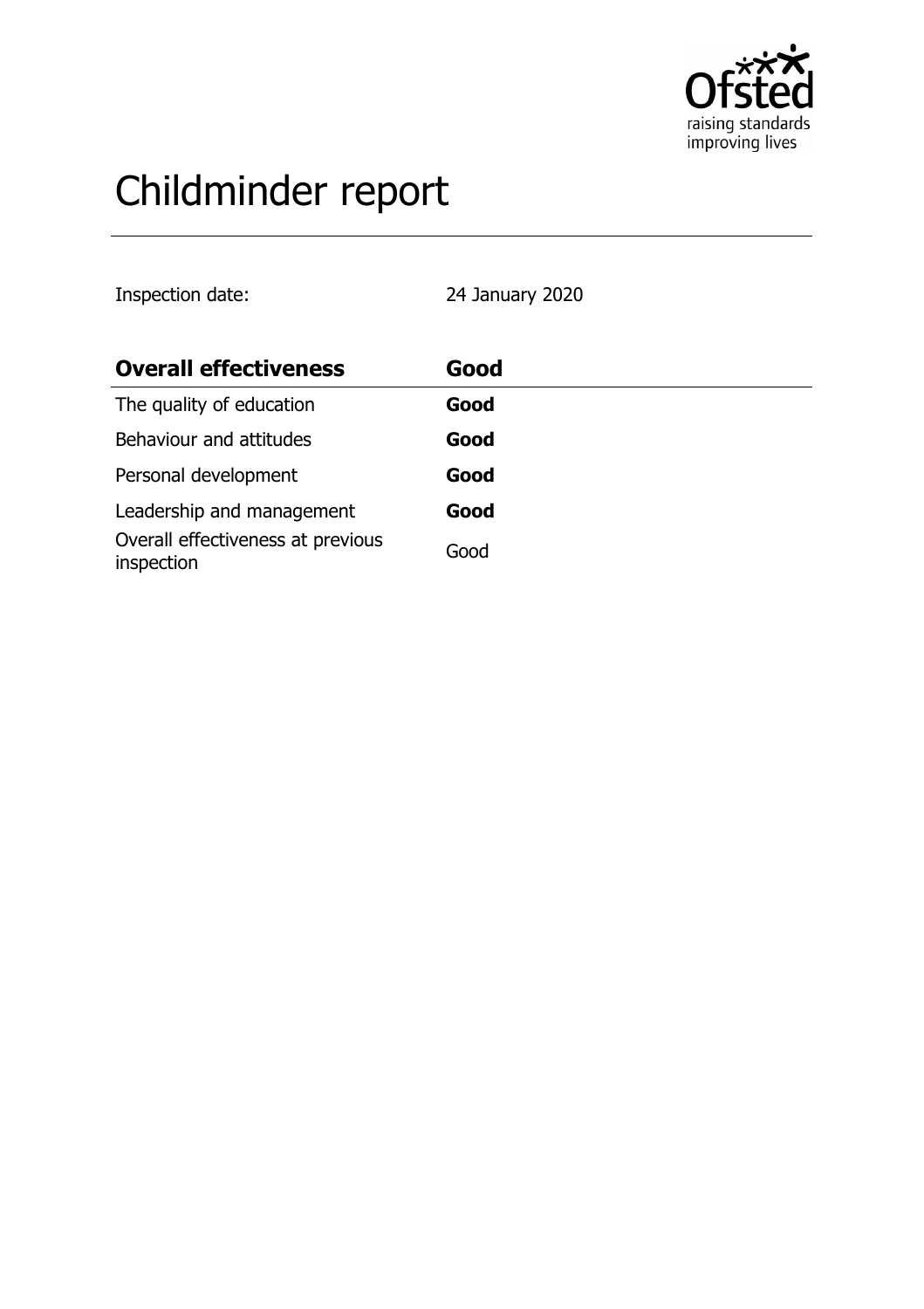

# Childminder report

Inspection date: 24 January 2020

| <b>Overall effectiveness</b>                    | Good |
|-------------------------------------------------|------|
| The quality of education                        | Good |
| Behaviour and attitudes                         | Good |
| Personal development                            | Good |
| Leadership and management                       | Good |
| Overall effectiveness at previous<br>inspection | Good |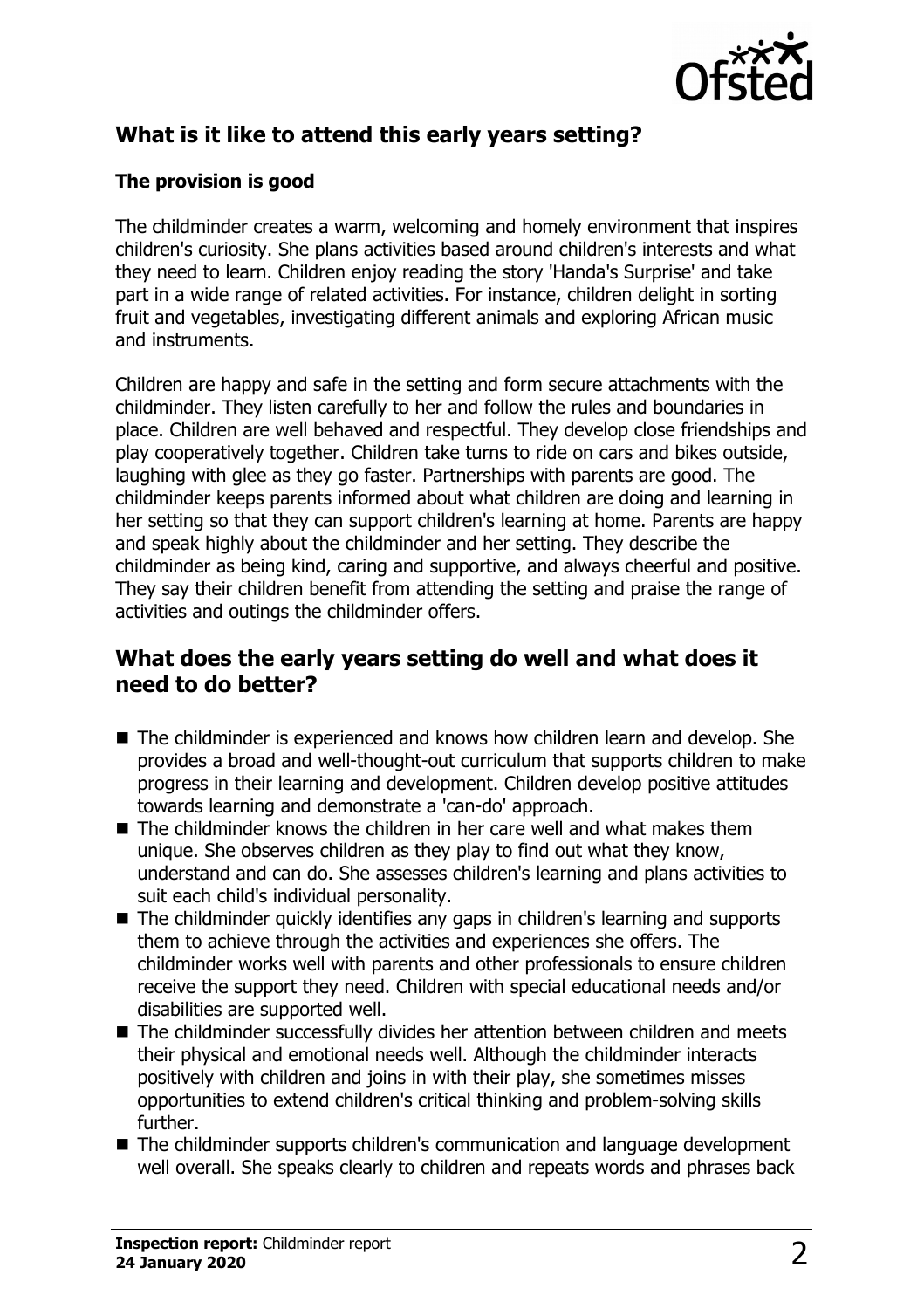

# **What is it like to attend this early years setting?**

### **The provision is good**

The childminder creates a warm, welcoming and homely environment that inspires children's curiosity. She plans activities based around children's interests and what they need to learn. Children enjoy reading the story 'Handa's Surprise' and take part in a wide range of related activities. For instance, children delight in sorting fruit and vegetables, investigating different animals and exploring African music and instruments.

Children are happy and safe in the setting and form secure attachments with the childminder. They listen carefully to her and follow the rules and boundaries in place. Children are well behaved and respectful. They develop close friendships and play cooperatively together. Children take turns to ride on cars and bikes outside, laughing with glee as they go faster. Partnerships with parents are good. The childminder keeps parents informed about what children are doing and learning in her setting so that they can support children's learning at home. Parents are happy and speak highly about the childminder and her setting. They describe the childminder as being kind, caring and supportive, and always cheerful and positive. They say their children benefit from attending the setting and praise the range of activities and outings the childminder offers.

## **What does the early years setting do well and what does it need to do better?**

- $\blacksquare$  The childminder is experienced and knows how children learn and develop. She provides a broad and well-thought-out curriculum that supports children to make progress in their learning and development. Children develop positive attitudes towards learning and demonstrate a 'can-do' approach.
- $\blacksquare$  The childminder knows the children in her care well and what makes them unique. She observes children as they play to find out what they know, understand and can do. She assesses children's learning and plans activities to suit each child's individual personality.
- $\blacksquare$  The childminder quickly identifies any gaps in children's learning and supports them to achieve through the activities and experiences she offers. The childminder works well with parents and other professionals to ensure children receive the support they need. Children with special educational needs and/or disabilities are supported well.
- The childminder successfully divides her attention between children and meets their physical and emotional needs well. Although the childminder interacts positively with children and joins in with their play, she sometimes misses opportunities to extend children's critical thinking and problem-solving skills further.
- The childminder supports children's communication and language development well overall. She speaks clearly to children and repeats words and phrases back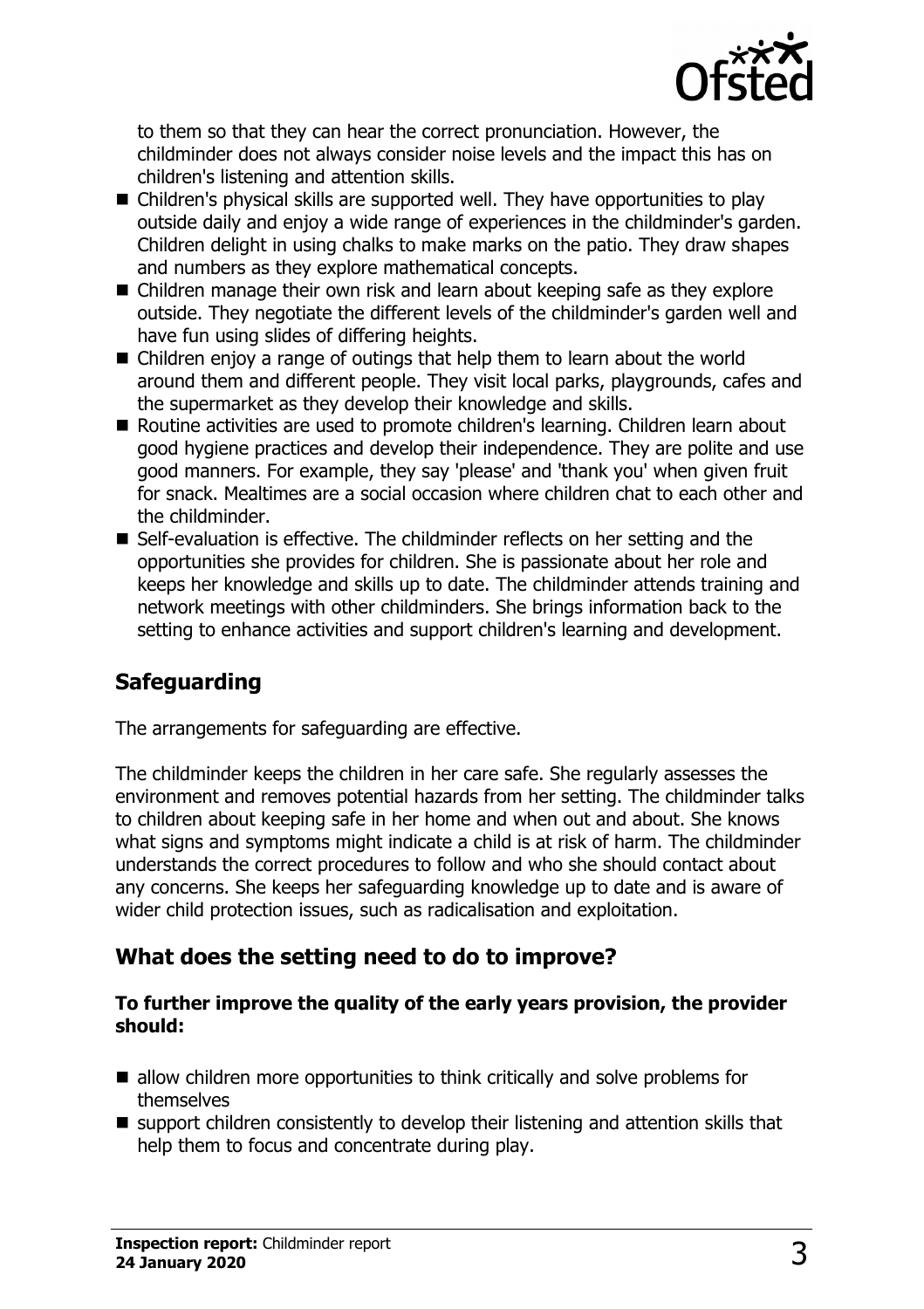

to them so that they can hear the correct pronunciation. However, the childminder does not always consider noise levels and the impact this has on children's listening and attention skills.

- $\blacksquare$  Children's physical skills are supported well. They have opportunities to play outside daily and enjoy a wide range of experiences in the childminder's garden. Children delight in using chalks to make marks on the patio. They draw shapes and numbers as they explore mathematical concepts.
- $\blacksquare$  Children manage their own risk and learn about keeping safe as they explore outside. They negotiate the different levels of the childminder's garden well and have fun using slides of differing heights.
- $\blacksquare$  Children enjoy a range of outings that help them to learn about the world around them and different people. They visit local parks, playgrounds, cafes and the supermarket as they develop their knowledge and skills.
- Routine activities are used to promote children's learning. Children learn about good hygiene practices and develop their independence. They are polite and use good manners. For example, they say 'please' and 'thank you' when given fruit for snack. Mealtimes are a social occasion where children chat to each other and the childminder.
- $\blacksquare$  Self-evaluation is effective. The childminder reflects on her setting and the opportunities she provides for children. She is passionate about her role and keeps her knowledge and skills up to date. The childminder attends training and network meetings with other childminders. She brings information back to the setting to enhance activities and support children's learning and development.

## **Safeguarding**

The arrangements for safeguarding are effective.

The childminder keeps the children in her care safe. She regularly assesses the environment and removes potential hazards from her setting. The childminder talks to children about keeping safe in her home and when out and about. She knows what signs and symptoms might indicate a child is at risk of harm. The childminder understands the correct procedures to follow and who she should contact about any concerns. She keeps her safeguarding knowledge up to date and is aware of wider child protection issues, such as radicalisation and exploitation.

## **What does the setting need to do to improve?**

#### **To further improve the quality of the early years provision, the provider should:**

- $\blacksquare$  allow children more opportunities to think critically and solve problems for themselves
- $\blacksquare$  support children consistently to develop their listening and attention skills that help them to focus and concentrate during play.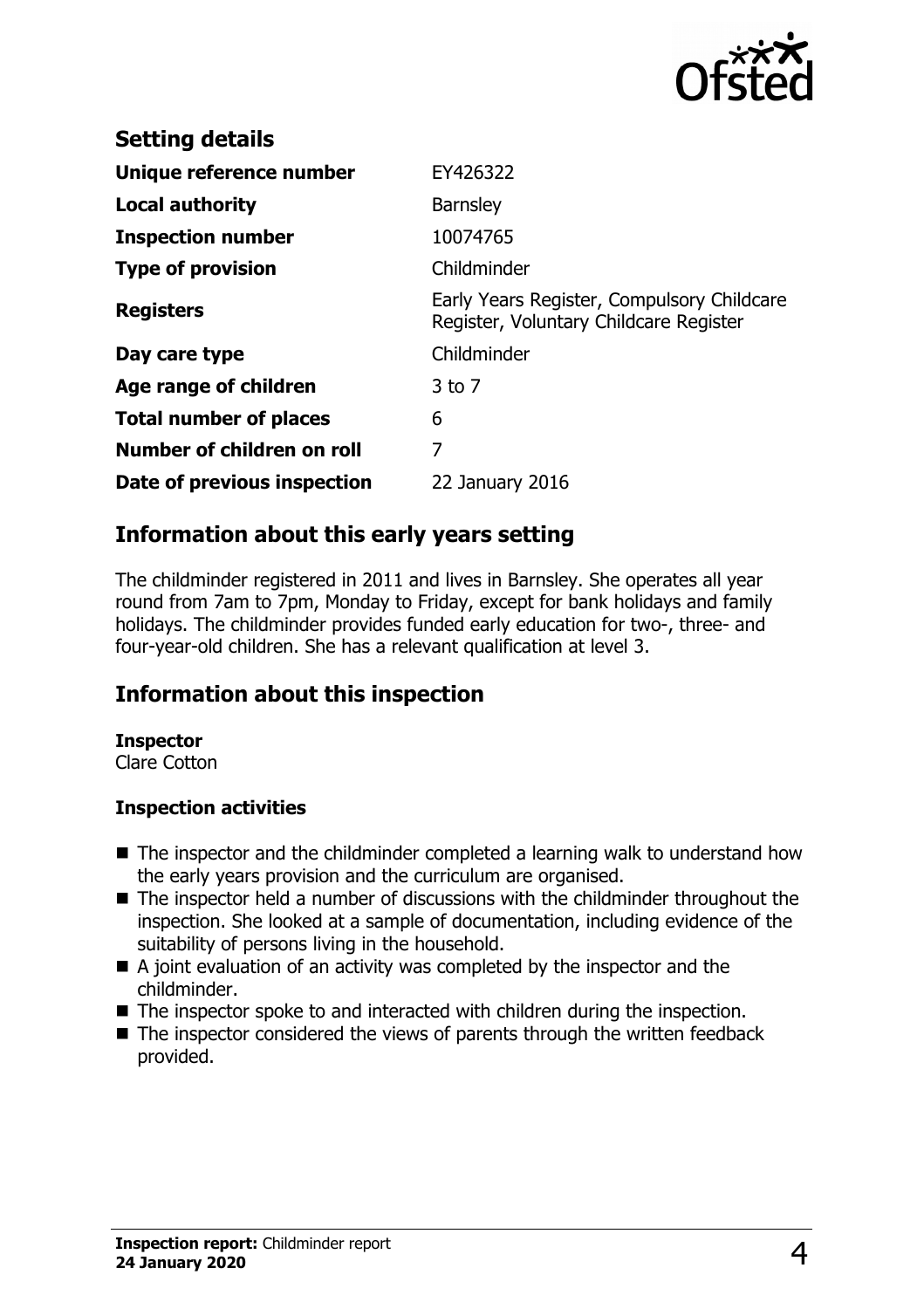

| <b>Setting details</b>        |                                                                                      |
|-------------------------------|--------------------------------------------------------------------------------------|
| Unique reference number       | EY426322                                                                             |
| Local authority               | <b>Barnsley</b>                                                                      |
| <b>Inspection number</b>      | 10074765                                                                             |
| <b>Type of provision</b>      | Childminder                                                                          |
| <b>Registers</b>              | Early Years Register, Compulsory Childcare<br>Register, Voluntary Childcare Register |
| Day care type                 | Childminder                                                                          |
| Age range of children         | $3$ to $7$                                                                           |
| <b>Total number of places</b> | 6                                                                                    |
| Number of children on roll    | 7                                                                                    |
| Date of previous inspection   | 22 January 2016                                                                      |

## **Information about this early years setting**

The childminder registered in 2011 and lives in Barnsley. She operates all year round from 7am to 7pm, Monday to Friday, except for bank holidays and family holidays. The childminder provides funded early education for two-, three- and four-year-old children. She has a relevant qualification at level 3.

## **Information about this inspection**

#### **Inspector**

Clare Cotton

#### **Inspection activities**

- $\blacksquare$  The inspector and the childminder completed a learning walk to understand how the early years provision and the curriculum are organised.
- $\blacksquare$  The inspector held a number of discussions with the childminder throughout the inspection. She looked at a sample of documentation, including evidence of the suitability of persons living in the household.
- $\blacksquare$  A joint evaluation of an activity was completed by the inspector and the childminder.
- $\blacksquare$  The inspector spoke to and interacted with children during the inspection.
- $\blacksquare$  The inspector considered the views of parents through the written feedback provided.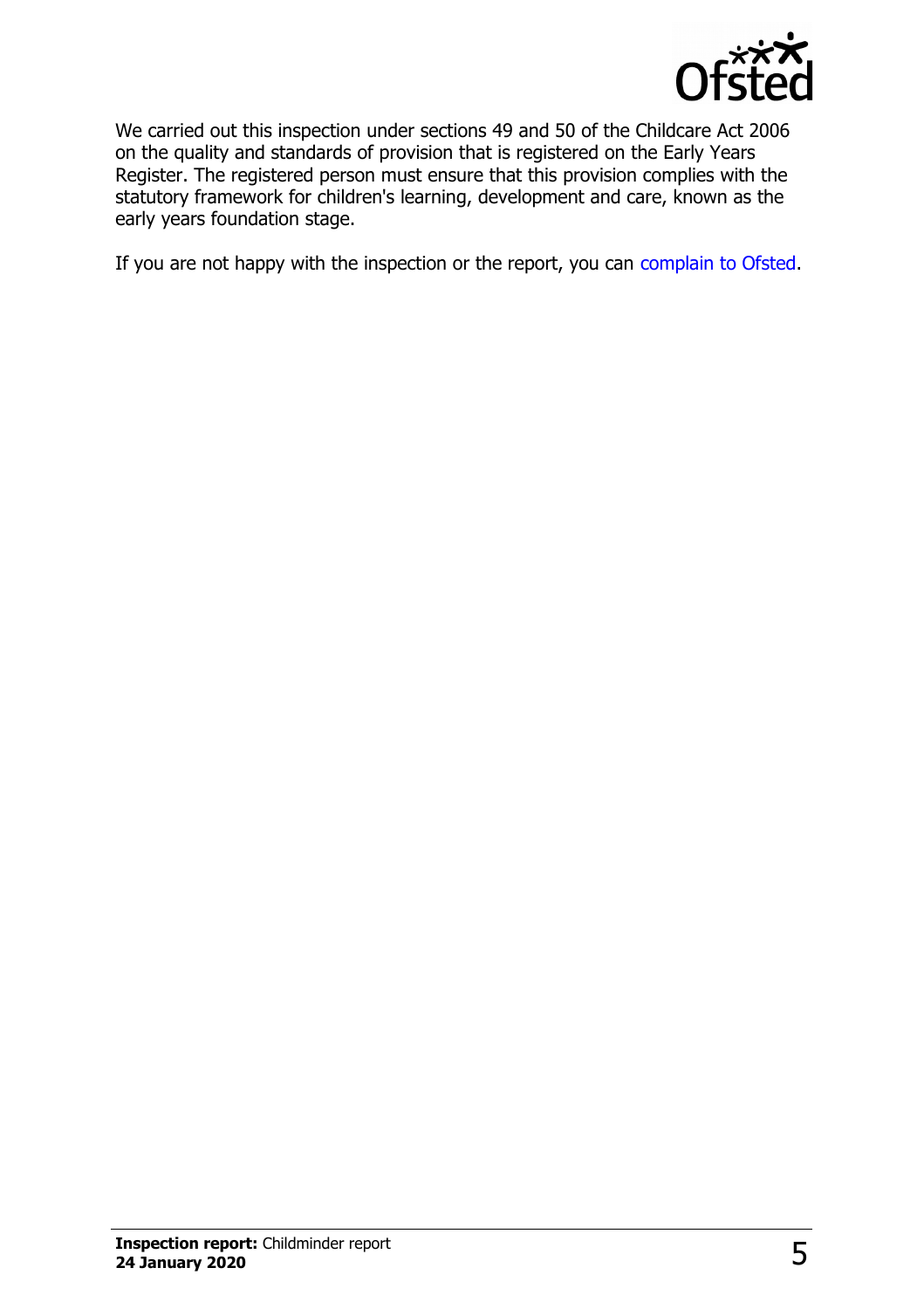

We carried out this inspection under sections 49 and 50 of the Childcare Act 2006 on the quality and standards of provision that is registered on the Early Years Register. The registered person must ensure that this provision complies with the statutory framework for children's learning, development and care, known as the early years foundation stage.

If you are not happy with the inspection or the report, you can [complain to Ofsted.](http://www.gov.uk/complain-ofsted-report)